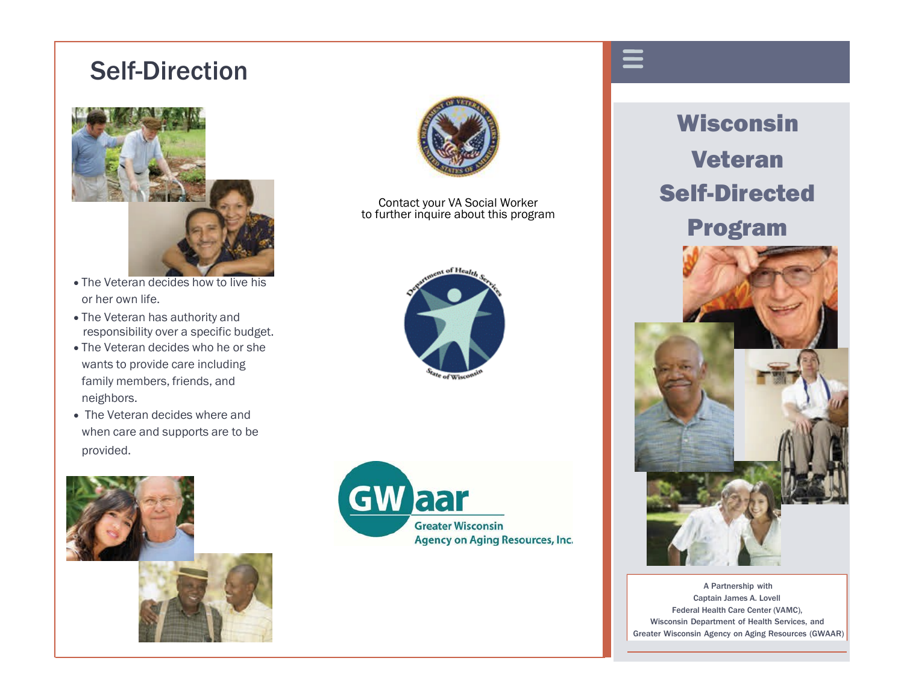# Self-Direction



- The Veteran decides how to live his or her own life.
- The Veteran has authority and responsibility over a specific budget.
- The Veteran decides who he or she wants to provide care including family members, friends, and neighbors.
- The Veteran decides where and when care and supports are to be provided.





Contact your VA Social Worker to further inquire about this program





Wisconsin Veteran Self-Directed Program



A Partnership with Captain James A. Lovell Federal Health Care Center (VAMC), Wisconsin Department of Health Services, and Greater Wisconsin Agency on Aging Resources (GWAAR)